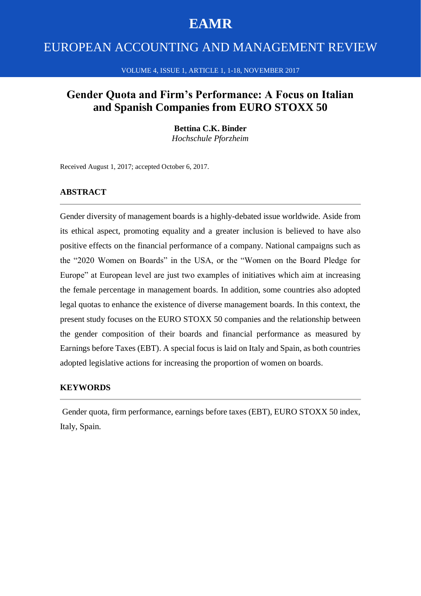# **EAMR**

# EUROPEAN ACCOUNTING AND MANAGEMENT REVIEW

#### VOLUME 4, ISSUE 1, ARTICLE 1, 1-18, NOVEMBER 2017

## **Gender Quota and Firm's Performance: A Focus on Italian and Spanish Companies from EURO STOXX 50**

#### **Bettina C.K. Binder**

*Hochschule Pforzheim*

Received August 1, 2017; accepted October 6, 2017.

#### **ABSTRACT**

Gender diversity of management boards is a highly-debated issue worldwide. Aside from its ethical aspect, promoting equality and a greater inclusion is believed to have also positive effects on the financial performance of a company. National campaigns such as the "2020 Women on Boards" in the USA, or the "Women on the Board Pledge for Europe" at European level are just two examples of initiatives which aim at increasing the female percentage in management boards. In addition, some countries also adopted legal quotas to enhance the existence of diverse management boards. In this context, the present study focuses on the EURO STOXX 50 companies and the relationship between the gender composition of their boards and financial performance as measured by Earnings before Taxes (EBT). A special focus is laid on Italy and Spain, as both countries adopted legislative actions for increasing the proportion of women on boards.

#### **KEYWORDS**

Gender quota, firm performance, earnings before taxes (EBT), EURO STOXX 50 index, Italy, Spain.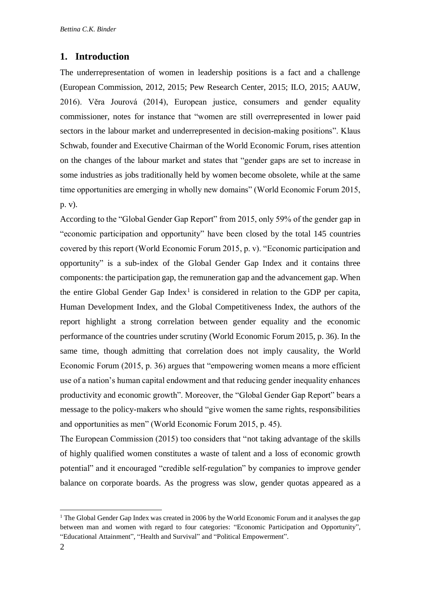### **1. Introduction**

The underrepresentation of women in leadership positions is a fact and a challenge (European Commission, 2012, 2015; Pew Research Center, 2015; ILO, 2015; AAUW, 2016). Věra Jourová (2014), European justice, consumers and gender equality commissioner, notes for instance that "women are still overrepresented in lower paid sectors in the labour market and underrepresented in decision-making positions". Klaus Schwab, founder and Executive Chairman of the World Economic Forum, rises attention on the changes of the labour market and states that "gender gaps are set to increase in some industries as jobs traditionally held by women become obsolete, while at the same time opportunities are emerging in wholly new domains" (World Economic Forum 2015, p. v).

According to the "Global Gender Gap Report" from 2015, only 59% of the gender gap in "economic participation and opportunity" have been closed by the total 145 countries covered by this report (World Economic Forum 2015, p. v). "Economic participation and opportunity" is a sub-index of the Global Gender Gap Index and it contains three components: the participation gap, the remuneration gap and the advancement gap. When the entire Global Gender Gap Index<sup>1</sup> is considered in relation to the GDP per capita, Human Development Index, and the Global Competitiveness Index, the authors of the report highlight a strong correlation between gender equality and the economic performance of the countries under scrutiny (World Economic Forum 2015, p. 36). In the same time, though admitting that correlation does not imply causality, the World Economic Forum (2015, p. 36) argues that "empowering women means a more efficient use of a nation's human capital endowment and that reducing gender inequality enhances productivity and economic growth". Moreover, the "Global Gender Gap Report" bears a message to the policy-makers who should "give women the same rights, responsibilities and opportunities as men" (World Economic Forum 2015, p. 45).

The European Commission (2015) too considers that "not taking advantage of the skills of highly qualified women constitutes a waste of talent and a loss of economic growth potential" and it encouraged "credible self-regulation" by companies to improve gender balance on corporate boards. As the progress was slow, gender quotas appeared as a

1

 $1$  The Global Gender Gap Index was created in 2006 by the World Economic Forum and it analyses the gap between man and women with regard to four categories: "Economic Participation and Opportunity", "Educational Attainment", "Health and Survival" and "Political Empowerment".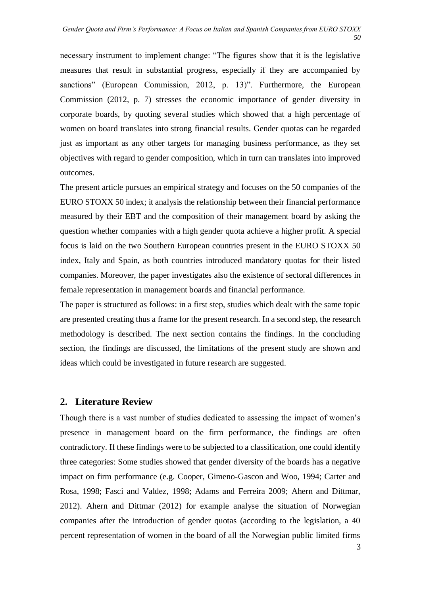necessary instrument to implement change: "The figures show that it is the legislative measures that result in substantial progress, especially if they are accompanied by sanctions" (European Commission, 2012, p. 13)". Furthermore, the European Commission (2012, p. 7) stresses the economic importance of gender diversity in corporate boards, by quoting several studies which showed that a high percentage of women on board translates into strong financial results. Gender quotas can be regarded just as important as any other targets for managing business performance, as they set objectives with regard to gender composition, which in turn can translates into improved outcomes.

The present article pursues an empirical strategy and focuses on the 50 companies of the EURO STOXX 50 index; it analysis the relationship between their financial performance measured by their EBT and the composition of their management board by asking the question whether companies with a high gender quota achieve a higher profit. A special focus is laid on the two Southern European countries present in the EURO STOXX 50 index, Italy and Spain, as both countries introduced mandatory quotas for their listed companies. Moreover, the paper investigates also the existence of sectoral differences in female representation in management boards and financial performance.

The paper is structured as follows: in a first step, studies which dealt with the same topic are presented creating thus a frame for the present research. In a second step, the research methodology is described. The next section contains the findings. In the concluding section, the findings are discussed, the limitations of the present study are shown and ideas which could be investigated in future research are suggested.

### **2. Literature Review**

Though there is a vast number of studies dedicated to assessing the impact of women's presence in management board on the firm performance, the findings are often contradictory. If these findings were to be subjected to a classification, one could identify three categories: Some studies showed that gender diversity of the boards has a negative impact on firm performance (e.g. Cooper, Gimeno-Gascon and Woo, 1994; Carter and Rosa, 1998; Fasci and Valdez, 1998; Adams and Ferreira 2009; Ahern and Dittmar, 2012). Ahern and Dittmar (2012) for example analyse the situation of Norwegian companies after the introduction of gender quotas (according to the legislation, a 40 percent representation of women in the board of all the Norwegian public limited firms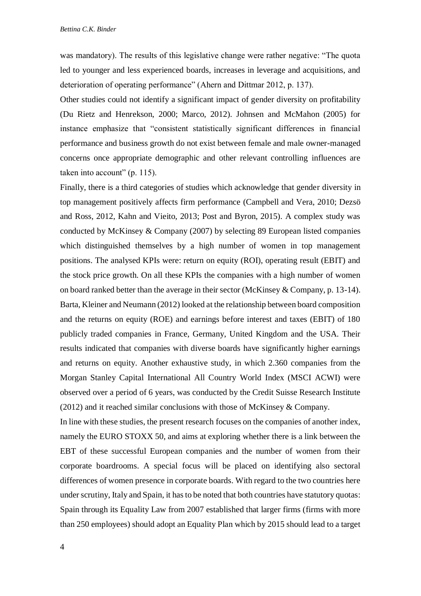was mandatory). The results of this legislative change were rather negative: "The quota led to younger and less experienced boards, increases in leverage and acquisitions, and deterioration of operating performance" (Ahern and Dittmar 2012, p. 137).

Other studies could not identify a significant impact of gender diversity on profitability (Du Rietz and Henrekson, 2000; Marco, 2012). Johnsen and McMahon (2005) for instance emphasize that "consistent statistically significant differences in financial performance and business growth do not exist between female and male owner-managed concerns once appropriate demographic and other relevant controlling influences are taken into account" (p. 115).

Finally, there is a third categories of studies which acknowledge that gender diversity in top management positively affects firm performance (Campbell and Vera, 2010; Dezsö and Ross, 2012, Kahn and Vieito, 2013; Post and Byron, 2015). A complex study was conducted by McKinsey & Company (2007) by selecting 89 European listed companies which distinguished themselves by a high number of women in top management positions. The analysed KPIs were: return on equity (ROI), operating result (EBIT) and the stock price growth. On all these KPIs the companies with a high number of women on board ranked better than the average in their sector (McKinsey & Company, p. 13-14). Barta, Kleiner and Neumann (2012) looked at the relationship between board composition and the returns on equity (ROE) and earnings before interest and taxes (EBIT) of 180 publicly traded companies in France, Germany, United Kingdom and the USA. Their results indicated that companies with diverse boards have significantly higher earnings and returns on equity. Another exhaustive study, in which 2.360 companies from the Morgan Stanley Capital International All Country World Index (MSCI ACWI) were observed over a period of 6 years, was conducted by the Credit Suisse Research Institute (2012) and it reached similar conclusions with those of McKinsey & Company.

In line with these studies, the present research focuses on the companies of another index, namely the EURO STOXX 50, and aims at exploring whether there is a link between the EBT of these successful European companies and the number of women from their corporate boardrooms. A special focus will be placed on identifying also sectoral differences of women presence in corporate boards. With regard to the two countries here under scrutiny, Italy and Spain, it has to be noted that both countries have statutory quotas: Spain through its Equality Law from 2007 established that larger firms (firms with more than 250 employees) should adopt an Equality Plan which by 2015 should lead to a target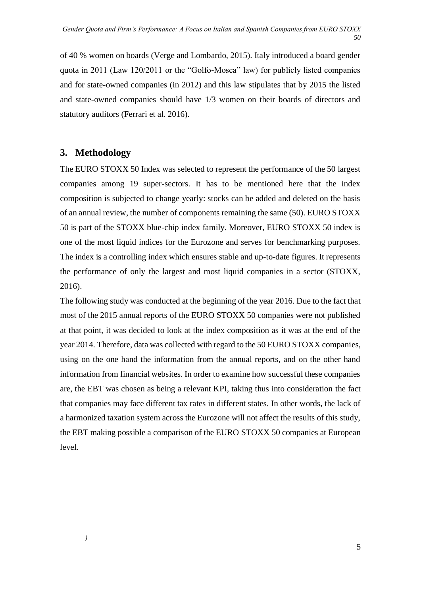of 40 % women on boards (Verge and Lombardo, 2015). Italy introduced a board gender quota in 2011 (Law 120/2011 or the "Golfo-Mosca" law) for publicly listed companies and for state-owned companies (in 2012) and this law stipulates that by 2015 the listed and state-owned companies should have 1/3 women on their boards of directors and statutory auditors (Ferrari et al. 2016).

## **3. Methodology**

The EURO STOXX 50 Index was selected to represent the performance of the 50 largest companies among 19 super-sectors. It has to be mentioned here that the index composition is subjected to change yearly: stocks can be added and deleted on the basis of an annual review, the number of components remaining the same (50). EURO STOXX 50 is part of the STOXX blue-chip index family. Moreover, EURO STOXX 50 index is one of the most liquid indices for the Eurozone and serves for benchmarking purposes. The index is a controlling index which ensures stable and up-to-date figures. It represents the performance of only the largest and most liquid companies in a sector (STOXX, 2016).

The following study was conducted at the beginning of the year 2016. Due to the fact that most of the 2015 annual reports of the EURO STOXX 50 companies were not published at that point, it was decided to look at the index composition as it was at the end of the year 2014. Therefore, data was collected with regard to the 50 EURO STOXX companies, using on the one hand the information from the annual reports, and on the other hand information from financial websites. In order to examine how successful these companies are, the EBT was chosen as being a relevant KPI, taking thus into consideration the fact that companies may face different tax rates in different states. In other words, the lack of a harmonized taxation system across the Eurozone will not affect the results of this study, the EBT making possible a comparison of the EURO STOXX 50 companies at European level.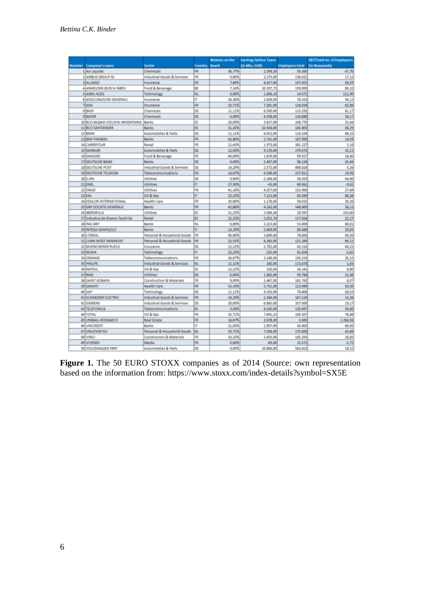|               |                                  |                                     |                | Women on the | <b>Earnings before Taxes</b> |                        | EBT/Total no. of Employees |
|---------------|----------------------------------|-------------------------------------|----------------|--------------|------------------------------|------------------------|----------------------------|
| <b>Number</b> | Company's name                   | Sector                              | <b>Country</b> | <b>Board</b> | [in Mio. EUR]                | <b>Employees total</b> | (in thousands)             |
|               | 1 Air Liquide                    | Chemicals                           | FR             | 30,77%       | 2.399,20                     | 50.300                 | 47,70                      |
|               | 2 AIRBUS GROUP SE                | Industrial Goods & Services         | FR             | 0.00%        | 2.373,00                     | 138.622                | 17.12                      |
|               | <b>B</b> ALLIANZ                 | Insurance                           | DE             | 7,69%        | 8.637,00                     | 147.425                | 58.59                      |
|               | 4 ANHEUSER-BUSCH INBEV           | Food & Beverage                     | BE             | 7,14%        | 10.397,72                    | 150,000                | 69,32                      |
|               | 5 ASML HLDG                      | Technology                          | NL             | 0,00%        | 1.856,10                     | 14.072                 | 131.90                     |
|               | 6 ASSICURAZIONI GENERALI         | Insurance                           | IT             | 36,36%       | 2.829,00                     | 78.333                 | 36,12                      |
|               | 7AXA                             | Insurance                           | FR             | 35,71%       | 7.201.00                     | 116.034                | 62.06                      |
|               | 8 BASE                           | Chemicals                           | DE             | 11,11%       | 6.930.00                     | 113.292                | 61.17                      |
|               | <b>9 BAYER</b>                   | Chemicals                           | DE             | 0.00%        | 4.538,00                     | 118.888                | 38.17                      |
|               | 10 BCO BILBAO VIZCAYA ARGENTARIA | Banks                               | ËŜ.            | 20,00%       | 3.637.00                     | 108.770                | 33,44                      |
|               | 11 BCO SANTANDER                 | Banks                               | <b>ES</b>      | 31,25%       | 10.436,00                    | 185.405                | 56,29                      |
|               | 12 BMW                           | Automobiles & Parts                 | DE             | 11.11%       | 8.052,00                     | 116.324                | 69.22                      |
|               | 13 BNP PARIBAS                   | Banks                               | FR             | 42,86%       | 2.741.00                     | 187.900                | 14,59                      |
|               | 14 CARREFOUR                     | Retail                              | FR             | 21,43%       | 1.973.00                     | 381.227                | 5,18                       |
|               | 15 DAIMLER                       | Automobiles & Parts                 | DE             | 12.50%       | 9.276,00                     | 279.972                | 33.13                      |
|               | 16 DANONE                        | Food & Beverage                     | FR             | 40,00%       | 1.839,00                     | 99.927                 | 18,40                      |
|               | 17 DEUTSCHE BANK                 | Banks                               | DE             | 0,00%        | 2,497,00                     | 98.138                 | 25,44                      |
|               | <b>18 DEUTSCHE POST</b>          | Industrial Goods & Services         | DE             | 14,29%       | 2.572.00                     | 488.824                | 5.26                       |
|               | 19 DEUTSCHE TELEKOM              | Telecommunications                  | DE             | 16,67%       | 4.548,00                     | 227.811                | 19,96                      |
|               | 20 E.ON                          | Utilities                           | DE             | 0.00%        | $-2.106,00$                  | 58.503                 | $-36,00$                   |
|               | 21 ENEL                          | <b>Utilities</b>                    | IT             | 37,50%       | $-43,00$                     | 68.961                 | $-0.62$                    |
|               | 22 ENGIE                         | <b>Utilities</b>                    | FR             | 41,18%       | 4.257,00                     | 152,900                | 27,84                      |
|               | 23 ENI                           | Oil & Gas                           | IT             | 22.22%       | 7.213,00                     | 83.599                 | 86.28                      |
|               | 24 ESSILOR INTERNATIONAL         | <b>Health Care</b>                  | FR             | 20,00%       | 1.176,00                     | 58.032                 | 20,26                      |
|               | 25 GRP SOCIETE GENERALE          | Banks                               | FR             | 42,86%       | 4.162.00                     | 148,000                | 28.12                      |
|               | 26 IBERDROLA                     | Utilities                           | ES             | 31.25%       | 3.066,36                     | 29.597                 | 103,60                     |
|               | 27 Industria de Diseno Textil SA | Retail                              | <b>ES</b>      | 22,22%       | 3.052,70                     | 137.054                | 22,27                      |
|               | 28 ING GRP                       | Banks                               | NL             | 0.00%        | 3.223.00                     | 53,000                 | 60,81                      |
|               | 29 INTESA SANPAOLO               | Banks                               | IT             | 14,29%       | 2.669,00                     | 89.486                 | 29,83                      |
|               | 30 L'OREAL                       | Personal & Household Goods          | FR             | 40,00%       | 3.890,40                     | 78.600                 | 49,50                      |
|               | 31 LVMH MOET HENNESSY            | Personal & Household Goods          | FR             | 23,53%       | 8.383,00                     | 121.289                | 69,12                      |
|               | 32 MUENCHENER RUECK              | Insurance                           | DE             | 22,22%       | 2.782,00                     | 43.316                 | 64.23                      |
|               | 33 NOKIA                         | Technology                          | FI             | 22,22%       | $-225,00$                    | 61,656                 | $-3,65$                    |
|               | 34 ORANGE                        | Telecommunications                  | FR             | 26,67%       | 3.148,00                     | 156.233                | 20.15                      |
|               | 35 PHILIPS                       | Industrial Goods & Services         | NL             | 11,11%       | 185,00                       | 113.678                | 1,63                       |
|               | 36 REPSOL                        | Oil & Gas                           | ES             | 22,22%       | 230,00                       | 26.141                 | 8,80                       |
|               | 37 RWE                           | <b>Utilities</b>                    | DE             | 0.00%        | 1.882,00                     | 59.784                 | 31,48                      |
|               | 38 SAINT GOBAIN                  | <b>Construction &amp; Materials</b> | FR             | 9.09%        | 1,467.00                     | 181.742                | 8.07                       |
|               | 39 SANOFI                        | <b>Health Care</b>                  | FR             | 33,33%       | 5.731,00                     | 113,496                | 50,50                      |
|               | 40 SAP                           | Technology                          | DE             | 11.11%       | 4.355,00                     | 74.406                 | 58.53                      |
|               | 41 SCHNEIDER ELECTRIC            | Industrial Goods & Services         | FR             | 14.29%       | 2.384.00                     | 167.124                | 14.26                      |
|               | 42 SIEMENS                       | Industrial Goods & Services         | DE             | 20,00%       | 6.845,00                     | 357,000                | 19.17                      |
|               | 43 TELEFONICA                    | Telecommunications                  | ES             | 5,56%        | 4.145,00                     | 120.497                | 34,40                      |
|               | 44 TOTAL                         | Oil & Gas                           | FR             | 35,71%       | 7.691.23                     | 100.307                | 76,68                      |
|               | 45 UNIBAIL-RODAMCO               | <b>Real Estate</b>                  | FR             | 16,67%       | 2.678,30                     | 2.085                  | 1.284.56                   |
|               | 46 UNICREDIT                     | Banks                               | IT             | 21,05%       | 2.997,09                     | 43.405                 | 69,05                      |
|               | 47 UNILEVER NV                   | Personal & Household Goods          | NL             | 35,71%       | 7.548,00                     | 172,000                | 43,88                      |
|               | 48 VINCI                         | <b>Construction &amp; Materials</b> | FR             | 33,33%       | 3.455,00                     | 185.293                | 18,65                      |
|               | 49 VIVENDI                       | Media                               | FR             | 0,00%        | $-89,00$                     | 15.571                 | $-5, 72$                   |
|               | 50 VOLKSWAGEN PREF               | <b>Automobiles &amp; Parts</b>      | DE             | 0.00%        | 10.806,00                    | 583.423                | 18.52                      |

Figure 1. The 50 EURO STOXX companies as of 2014 (Source: own representation based on the information from:<https://www.stoxx.com/index-details?symbol=SX5E>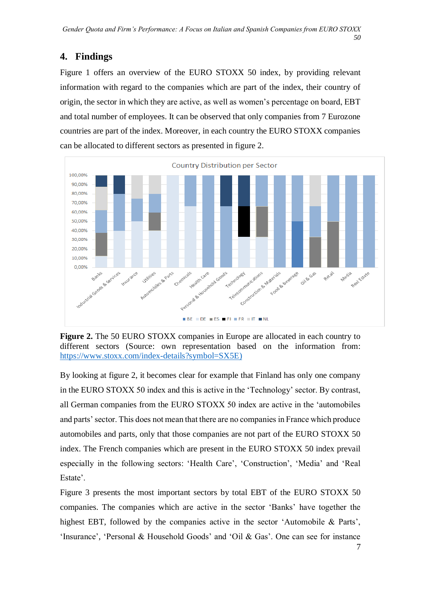## **4. Findings**

Figure 1 offers an overview of the EURO STOXX 50 index, by providing relevant information with regard to the companies which are part of the index, their country of origin, the sector in which they are active, as well as women's percentage on board, EBT and total number of employees. It can be observed that only companies from 7 Eurozone countries are part of the index. Moreover, in each country the EURO STOXX companies can be allocated to different sectors as presented in figure 2.



**Figure 2.** The 50 EURO STOXX companies in Europe are allocated in each country to different sectors (Source: own representation based on the information from: [https://www.stoxx.com/index-details?symbol=SX5E\)](https://www.stoxx.com/index-details?symbol=SX5E))

By looking at figure 2, it becomes clear for example that Finland has only one company in the EURO STOXX 50 index and this is active in the 'Technology' sector. By contrast, all German companies from the EURO STOXX 50 index are active in the 'automobiles and parts' sector. This does not mean that there are no companies in France which produce automobiles and parts, only that those companies are not part of the EURO STOXX 50 index. The French companies which are present in the EURO STOXX 50 index prevail especially in the following sectors: 'Health Care', 'Construction', 'Media' and 'Real Estate'.

Figure 3 presents the most important sectors by total EBT of the EURO STOXX 50 companies. The companies which are active in the sector 'Banks' have together the highest EBT, followed by the companies active in the sector 'Automobile & Parts', 'Insurance', 'Personal & Household Goods' and 'Oil & Gas'. One can see for instance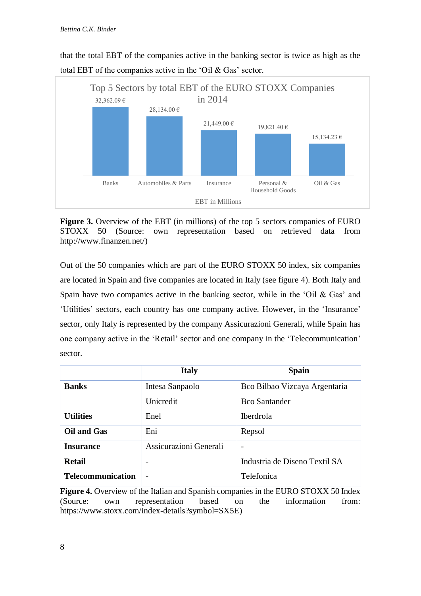

that the total EBT of the companies active in the banking sector is twice as high as the total EBT of the companies active in the 'Oil & Gas' sector.

**Figure 3.** Overview of the EBT (in millions) of the top 5 sectors companies of EURO STOXX 50 (Source: own representation based on retrieved data from [http://www.finanzen.net/\)](http://www.finanzen.net/)

Out of the 50 companies which are part of the EURO STOXX 50 index, six companies are located in Spain and five companies are located in Italy (see figure 4). Both Italy and Spain have two companies active in the banking sector, while in the 'Oil  $\&$  Gas' and 'Utilities' sectors, each country has one company active. However, in the 'Insurance' sector, only Italy is represented by the company Assicurazioni Generali, while Spain has one company active in the 'Retail' sector and one company in the 'Telecommunication' sector.

|                          | <b>Italy</b>           | <b>Spain</b>                  |  |  |
|--------------------------|------------------------|-------------------------------|--|--|
| <b>Banks</b>             | Intesa Sanpaolo        | Bco Bilbao Vizcaya Argentaria |  |  |
|                          | Unicredit              | <b>Bco Santander</b>          |  |  |
| <b>Utilities</b>         | Enel                   | <b>Iberdrola</b>              |  |  |
| <b>Oil and Gas</b>       | Eni                    | Repsol                        |  |  |
| <b>Insurance</b>         | Assicurazioni Generali |                               |  |  |
| <b>Retail</b>            |                        | Industria de Diseno Textil SA |  |  |
| <b>Telecommunication</b> |                        | Telefonica                    |  |  |

**Figure 4.** Overview of the Italian and Spanish companies in the EURO STOXX 50 Index (Source: own representation based on the information from: [https://www.stoxx.com/index-details?symbol=SX5E\)](https://www.stoxx.com/index-details?symbol=SX5E)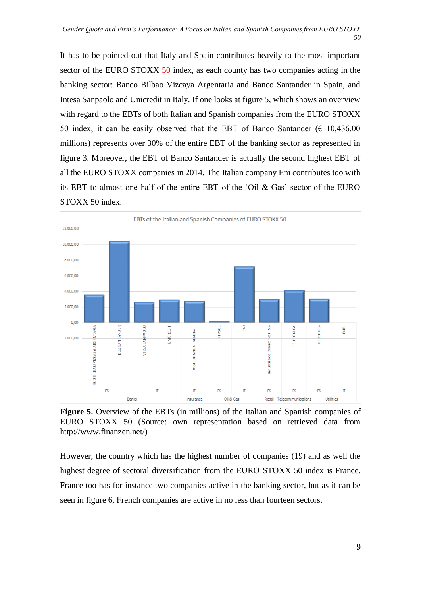It has to be pointed out that Italy and Spain contributes heavily to the most important sector of the EURO STOXX 50 index, as each county has two companies acting in the banking sector: Banco Bilbao Vizcaya Argentaria and Banco Santander in Spain, and Intesa Sanpaolo and Unicredit in Italy. If one looks at figure 5, which shows an overview with regard to the EBTs of both Italian and Spanish companies from the EURO STOXX 50 index, it can be easily observed that the EBT of Banco Santander ( $\epsilon$  10,436.00 millions) represents over 30% of the entire EBT of the banking sector as represented in figure 3. Moreover, the EBT of Banco Santander is actually the second highest EBT of all the EURO STOXX companies in 2014. The Italian company Eni contributes too with its EBT to almost one half of the entire EBT of the 'Oil & Gas' sector of the EURO STOXX 50 index.



**Figure 5.** Overview of the EBTs (in millions) of the Italian and Spanish companies of EURO STOXX 50 (Source: own representation based on retrieved data from http://www.finanzen.net/)

However, the country which has the highest number of companies (19) and as well the highest degree of sectoral diversification from the EURO STOXX 50 index is France. France too has for instance two companies active in the banking sector, but as it can be seen in figure 6, French companies are active in no less than fourteen sectors.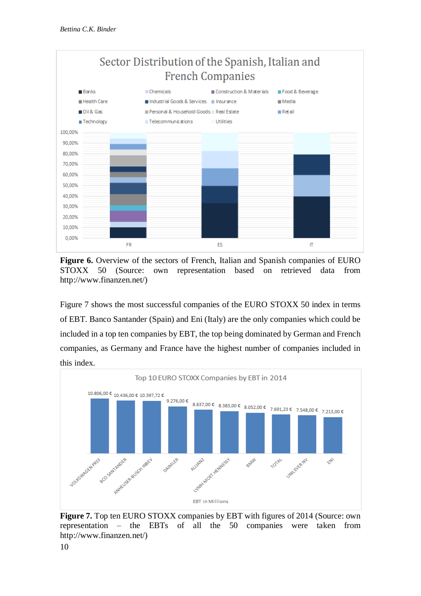



**Figure 6.** Overview of the sectors of French, Italian and Spanish companies of EURO STOXX 50 (Source: own representation based on retrieved data from http://www.finanzen.net/)

Figure 7 shows the most successful companies of the EURO STOXX 50 index in terms of EBT. Banco Santander (Spain) and Eni (Italy) are the only companies which could be included in a top ten companies by EBT, the top being dominated by German and French companies, as Germany and France have the highest number of companies included in this index.



**Figure 7.** Top ten EURO STOXX companies by EBT with figures of 2014 (Source: own representation – the EBTs of all the 50 companies were taken from http://www.finanzen.net/)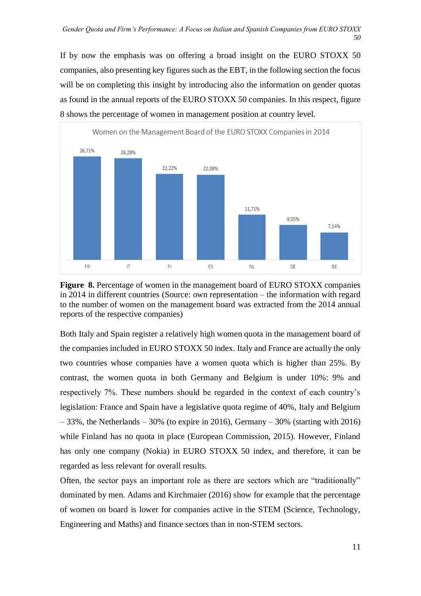If by now the emphasis was on offering a broad insight on the EURO STOXX 50 companies, also presenting key figures such as the EBT, in the following section the focus will be on completing this insight by introducing also the information on gender quotas as found in the annual reports of the EURO STOXX 50 companies. In this respect, figure 8 shows the percentage of women in management position at country level.



**Figure 8.** Percentage of women in the management board of EURO STOXX companies in 2014 in different countries (Source: own representation – the information with regard to the number of women on the management board was extracted from the 2014 annual reports of the respective companies)

Both Italy and Spain register a relatively high women quota in the management board of the companies included in EURO STOXX 50 index. Italy and France are actually the only two countries whose companies have a women quota which is higher than 25%. By contrast, the women quota in both Germany and Belgium is under 10%: 9% and respectively 7%. These numbers should be regarded in the context of each country's legislation: France and Spain have a legislative quota regime of 40%, Italy and Belgium  $-33\%$ , the Netherlands  $-30\%$  (to expire in 2016), Germany  $-30\%$  (starting with 2016) while Finland has no quota in place (European Commission, 2015). However, Finland has only one company (Nokia) in EURO STOXX 50 index, and therefore, it can be regarded as less relevant for overall results.

Often, the sector pays an important role as there are sectors which are "traditionally" dominated by men. Adams and Kirchmaier (2016) show for example that the percentage of women on board is lower for companies active in the STEM (Science, Technology, Engineering and Maths) and finance sectors than in non-STEM sectors.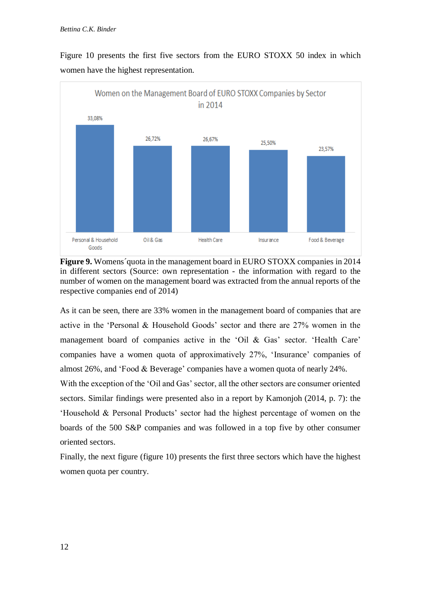

Figure 10 presents the first five sectors from the EURO STOXX 50 index in which women have the highest representation.

**Figure 9.** Womens´quota in the management board in EURO STOXX companies in 2014 in different sectors (Source: own representation - the information with regard to the number of women on the management board was extracted from the annual reports of the respective companies end of 2014)

As it can be seen, there are 33% women in the management board of companies that are active in the 'Personal & Household Goods' sector and there are 27% women in the management board of companies active in the 'Oil & Gas' sector. 'Health Care' companies have a women quota of approximatively 27%, 'Insurance' companies of almost 26%, and 'Food & Beverage' companies have a women quota of nearly 24%.

With the exception of the 'Oil and Gas' sector, all the other sectors are consumer oriented sectors. Similar findings were presented also in a report by Kamonjoh (2014, p. 7): the 'Household & Personal Products' sector had the highest percentage of women on the boards of the 500 S&P companies and was followed in a top five by other consumer oriented sectors.

Finally, the next figure (figure 10) presents the first three sectors which have the highest women quota per country.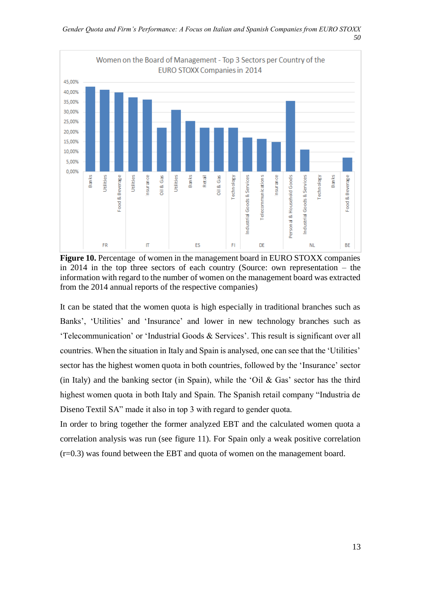

**Figure 10.** Percentage of women in the management board in EURO STOXX companies in 2014 in the top three sectors of each country (Source: own representation – the information with regard to the number of women on the management board was extracted from the 2014 annual reports of the respective companies)

It can be stated that the women quota is high especially in traditional branches such as Banks', 'Utilities' and 'Insurance' and lower in new technology branches such as 'Telecommunication' or 'Industrial Goods & Services'. This result is significant over all countries. When the situation in Italy and Spain is analysed, one can see that the 'Utilities' sector has the highest women quota in both countries, followed by the 'Insurance' sector (in Italy) and the banking sector (in Spain), while the 'Oil  $\&$  Gas' sector has the third highest women quota in both Italy and Spain. The Spanish retail company "Industria de Diseno Textil SA" made it also in top 3 with regard to gender quota.

In order to bring together the former analyzed EBT and the calculated women quota a correlation analysis was run (see figure 11). For Spain only a weak positive correlation (r=0.3) was found between the EBT and quota of women on the management board.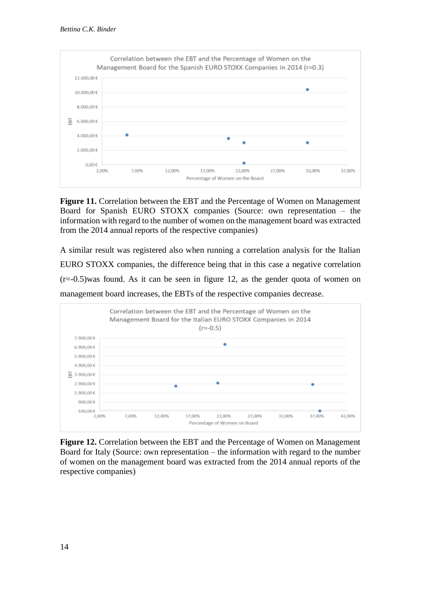

**Figure 11.** Correlation between the EBT and the Percentage of Women on Management Board for Spanish EURO STOXX companies (Source: own representation – the information with regard to the number of women on the management board was extracted from the 2014 annual reports of the respective companies)

A similar result was registered also when running a correlation analysis for the Italian EURO STOXX companies, the difference being that in this case a negative correlation  $(r=-0.5)$  was found. As it can be seen in figure 12, as the gender quota of women on management board increases, the EBTs of the respective companies decrease.



**Figure 12.** Correlation between the EBT and the Percentage of Women on Management Board for Italy (Source: own representation – the information with regard to the number of women on the management board was extracted from the 2014 annual reports of the respective companies)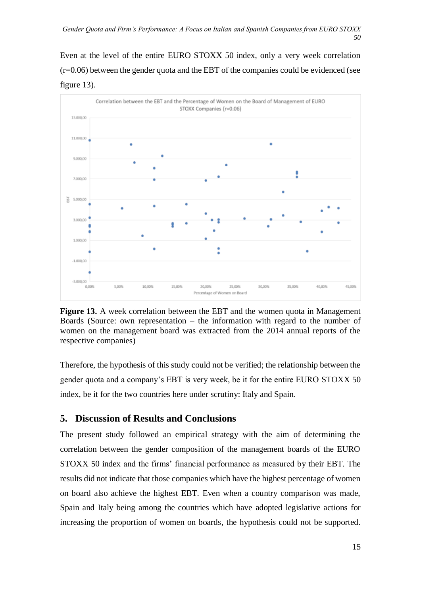Even at the level of the entire EURO STOXX 50 index, only a very week correlation (r=0.06) between the gender quota and the EBT of the companies could be evidenced (see figure 13).



**Figure 13.** A week correlation between the EBT and the women quota in Management Boards (Source: own representation – the information with regard to the number of women on the management board was extracted from the 2014 annual reports of the respective companies)

Therefore, the hypothesis of this study could not be verified; the relationship between the gender quota and a company's EBT is very week, be it for the entire EURO STOXX 50 index, be it for the two countries here under scrutiny: Italy and Spain.

### **5. Discussion of Results and Conclusions**

The present study followed an empirical strategy with the aim of determining the correlation between the gender composition of the management boards of the EURO STOXX 50 index and the firms' financial performance as measured by their EBT. The results did not indicate that those companies which have the highest percentage of women on board also achieve the highest EBT. Even when a country comparison was made, Spain and Italy being among the countries which have adopted legislative actions for increasing the proportion of women on boards, the hypothesis could not be supported.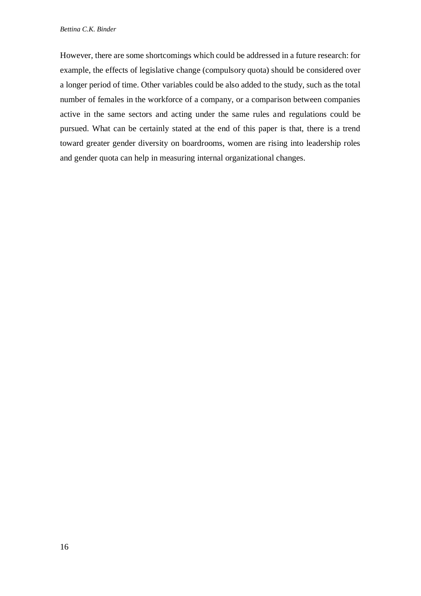However, there are some shortcomings which could be addressed in a future research: for example, the effects of legislative change (compulsory quota) should be considered over a longer period of time. Other variables could be also added to the study, such as the total number of females in the workforce of a company, or a comparison between companies active in the same sectors and acting under the same rules and regulations could be pursued. What can be certainly stated at the end of this paper is that, there is a trend toward greater gender diversity on boardrooms, women are rising into leadership roles and gender quota can help in measuring internal organizational changes.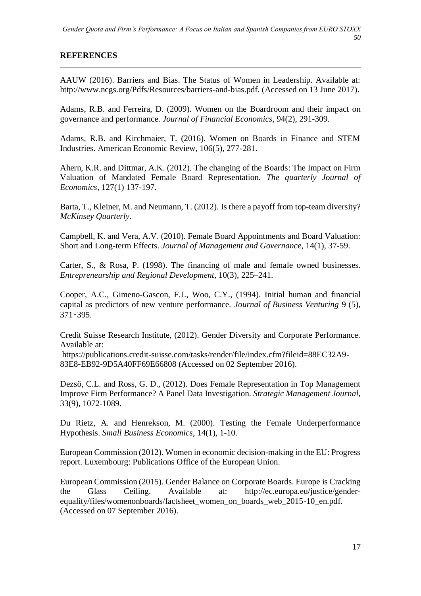### **REFERENCES**

AAUW (2016). Barriers and Bias. The Status of Women in Leadership. Available at: http://www.ncgs.org/Pdfs/Resources/barriers-and-bias.pdf. (Accessed on 13 June 2017).

Adams, R.B. and Ferreira, D. (2009). Women on the Boardroom and their impact on governance and performance. *Journal of Financial Economics*, 94(2), 291-309.

Adams, R.B. and Kirchmaier, T. (2016). Women on Boards in Finance and STEM Industries. American Economic Review, 106(5), 277-281.

Ahern, K.R. and Dittmar, A.K. (2012). The changing of the Boards: The Impact on Firm Valuation of Mandated Female Board Representation. *The quarterly Journal of Economics*, 127(1) 137-197.

Barta, T., Kleiner, M. and Neumann, T. (2012). Is there a payoff from top-team diversity? *McKinsey Quarterly*.

Campbell, K. and Vera, A.V. (2010). Female Board Appointments and Board Valuation: Short and Long-term Effects. *Journal of Management and Governance*, 14(1), 37-59.

Carter, S., & Rosa, P. (1998). The financing of male and female owned businesses. *Entrepreneurship and Regional Development*, 10(3), 225–241.

Cooper, A.C., Gimeno-Gascon, F.J., Woo, C.Y., (1994). Initial human and financial capital as predictors of new venture performance. *Journal of Business Venturing* 9 (5), 371–395.

Credit Suisse Research Institute, (2012). Gender Diversity and Corporate Performance. Available at:

https://publications.credit-suisse.com/tasks/render/file/index.cfm?fileid=88EC32A9- 83E8-EB92-9D5A40FF69E66808 (Accessed on 02 September 2016).

Dezsö, C.L. and Ross, G. D., (2012). Does Female Representation in Top Management Improve Firm Performance? A Panel Data Investigation. *Strategic Management Journal*, 33(9), 1072-1089.

Du Rietz, A. and Henrekson, M. (2000). Testing the Female Underperformance Hypothesis. *Small Business Economics*, 14(1), 1-10.

European Commission (2012). Women in economic decision-making in the EU: Progress report. Luxembourg: Publications Office of the European Union.

European Commission (2015). Gender Balance on Corporate Boards. Europe is Cracking the Glass Ceiling. Available at: http://ec.europa.eu/justice/genderequality/files/womenonboards/factsheet\_women\_on\_boards\_web\_2015-10\_en.pdf. (Accessed on 07 September 2016).